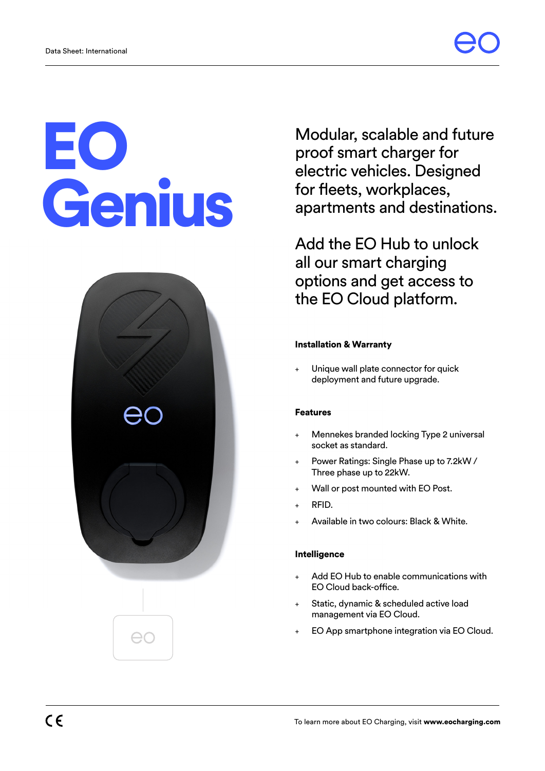# EO Genius



Modular, scalable and future proof smart charger for electric vehicles. Designed for fleets, workplaces, apartments and destinations.

Add the EO Hub to unlock all our smart charging options and get access to the EO Cloud platform.

# Installation & Warranty

Unique wall plate connector for quick deployment and future upgrade.

# Features

- Mennekes branded locking Type 2 universal socket as standard.
- Power Ratings: Single Phase up to 7.2kW / Three phase up to 22kW.
- Wall or post mounted with EO Post.
- RFID.
- Available in two colours: Black & White.

### Intelligence

- Add EO Hub to enable communications with EO Cloud back-office.
- Static, dynamic & scheduled active load management via EO Cloud.
- + EO App smartphone integration via EO Cloud.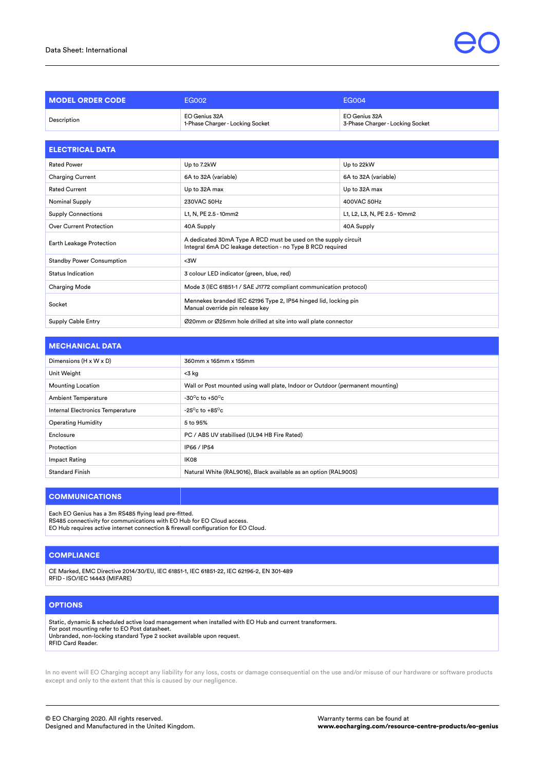| <b>MODEL ORDER CODE</b>        | <b>EG002</b>                                                       | <b>EG004</b>                                      |
|--------------------------------|--------------------------------------------------------------------|---------------------------------------------------|
| Description                    | EO Genius 32A<br>1-Phase Charger - Locking Socket                  | EO Genius 32A<br>3-Phase Charger - Locking Socket |
|                                |                                                                    |                                                   |
| <b>ELECTRICAL DATA</b>         |                                                                    |                                                   |
| <b>Rated Power</b>             | Up to 7.2kW                                                        | Up to 22kW                                        |
| <b>Charging Current</b>        | 6A to 32A (variable)                                               | 6A to 32A (variable)                              |
| <b>Rated Current</b>           | Up to 32A max                                                      | Up to 32A max                                     |
| <b>Nominal Supply</b>          | 230VAC 50Hz                                                        | 400VAC 50Hz                                       |
| <b>Supply Connections</b>      | L1, N, PE 2.5 - 10mm2                                              | L1, L2, L3, N, PE 2.5 - 10mm2                     |
| <b>Over Current Protection</b> | 40A Supply                                                         | 40A Supply                                        |
|                                | A dedicated ZOne A True A DOD munt be used on the cumplication it. |                                                   |

| Earth Leakage Protection         | A dedicated 30mA Type A RCD must be used on the supply circuit<br>Integral 6mA DC leakage detection - no Type B RCD required |
|----------------------------------|------------------------------------------------------------------------------------------------------------------------------|
| <b>Standby Power Consumption</b> | <3W                                                                                                                          |
| Status Indication                | 3 colour LED indicator (green, blue, red)                                                                                    |
| <b>Charging Mode</b>             | Mode 3 (IEC 61851-1 / SAE J1772 compliant communication protocol)                                                            |
| Socket                           | Mennekes branded IEC 62196 Type 2, IP54 hinged lid, locking pin<br>Manual override pin release key                           |
| Supply Cable Entry               | Ø20mm or Ø25mm hole drilled at site into wall plate connector                                                                |

| <b>MECHANICAL DATA</b>           |                                                                               |
|----------------------------------|-------------------------------------------------------------------------------|
| Dimensions (H x W x D)           | 360mm x 165mm x 155mm                                                         |
| Unit Weight                      | <3 kg                                                                         |
| <b>Mounting Location</b>         | Wall or Post mounted using wall plate, Indoor or Outdoor (permanent mounting) |
| <b>Ambient Temperature</b>       | -30 $\degree$ c to +50 $\degree$ c                                            |
| Internal Electronics Temperature | -25 $\degree$ c to +85 $\degree$ c                                            |
| <b>Operating Humidity</b>        | 5 to 95%                                                                      |
| Enclosure                        | PC / ABS UV stabilised (UL94 HB Fire Rated)                                   |
| Protection                       | IP66 / IP54                                                                   |
| Impact Rating                    | IK08                                                                          |
| <b>Standard Finish</b>           | Natural White (RAL9016), Black available as an option (RAL9005)               |

## **COMMUNICATIONS**

Each EO Genius has a 3m RS485 flying lead pre-fitted.

RS485 connectivity for communications with EO Hub for EO Cloud access. EO Hub requires active internet connection & firewall configuration for EO Cloud.

### **COMPLIANCE**

CE Marked, EMC Directive 2014/30/EU, IEC 61851-1, IEC 61851-22, IEC 62196-2, EN 301-489 RFID - ISO/IEC 14443 (MIFARE)

## **OPTIONS**

Static, dynamic & scheduled active load management when installed with EO Hub and current transformers. For post mounting refer to EO Post datasheet. Unbranded, non-locking standard Type 2 socket available upon request. RFID Card Reader.

In no event will EO Charging accept any liability for any loss, costs or damage consequential on the use and/or misuse of our hardware or software products except and only to the extent that this is caused by our negligence.